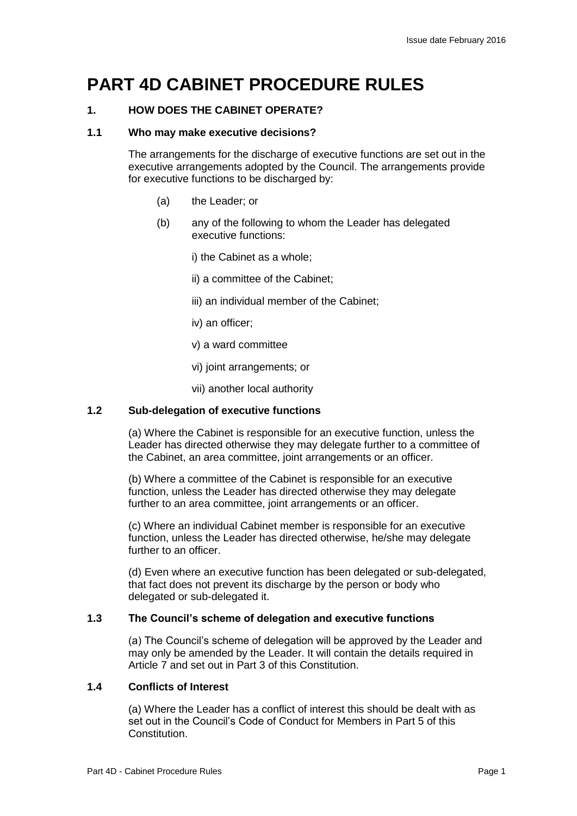# **PART 4D CABINET PROCEDURE RULES**

# **1. HOW DOES THE CABINET OPERATE?**

## **1.1 Who may make executive decisions?**

The arrangements for the discharge of executive functions are set out in the executive arrangements adopted by the Council. The arrangements provide for executive functions to be discharged by:

- (a) the Leader; or
- (b) any of the following to whom the Leader has delegated executive functions:
	- i) the Cabinet as a whole;
	- ii) a committee of the Cabinet;
	- iii) an individual member of the Cabinet;
	- iv) an officer;
	- v) a ward committee
	- vi) joint arrangements; or
	- vii) another local authority

# **1.2 Sub-delegation of executive functions**

(a) Where the Cabinet is responsible for an executive function, unless the Leader has directed otherwise they may delegate further to a committee of the Cabinet, an area committee, joint arrangements or an officer.

(b) Where a committee of the Cabinet is responsible for an executive function, unless the Leader has directed otherwise they may delegate further to an area committee, joint arrangements or an officer.

(c) Where an individual Cabinet member is responsible for an executive function, unless the Leader has directed otherwise, he/she may delegate further to an officer.

(d) Even where an executive function has been delegated or sub-delegated, that fact does not prevent its discharge by the person or body who delegated or sub-delegated it.

# **1.3 The Council's scheme of delegation and executive functions**

(a) The Council's scheme of delegation will be approved by the Leader and may only be amended by the Leader. It will contain the details required in Article 7 and set out in Part 3 of this Constitution.

# **1.4 Conflicts of Interest**

(a) Where the Leader has a conflict of interest this should be dealt with as set out in the Council's Code of Conduct for Members in Part 5 of this Constitution.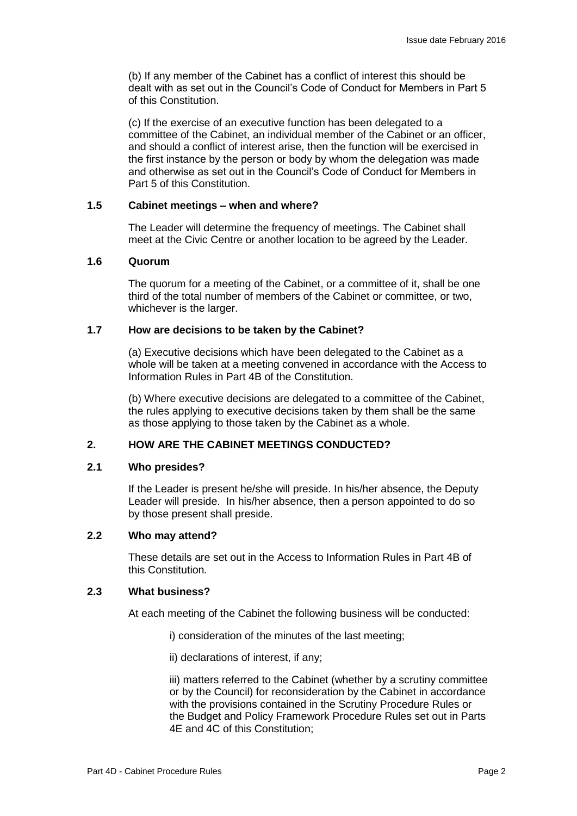(b) If any member of the Cabinet has a conflict of interest this should be dealt with as set out in the Council's Code of Conduct for Members in Part 5 of this Constitution.

(c) If the exercise of an executive function has been delegated to a committee of the Cabinet, an individual member of the Cabinet or an officer, and should a conflict of interest arise, then the function will be exercised in the first instance by the person or body by whom the delegation was made and otherwise as set out in the Council's Code of Conduct for Members in Part 5 of this Constitution.

#### **1.5 Cabinet meetings – when and where?**

The Leader will determine the frequency of meetings. The Cabinet shall meet at the Civic Centre or another location to be agreed by the Leader.

#### **1.6 Quorum**

The quorum for a meeting of the Cabinet, or a committee of it, shall be one third of the total number of members of the Cabinet or committee, or two, whichever is the larger.

#### **1.7 How are decisions to be taken by the Cabinet?**

(a) Executive decisions which have been delegated to the Cabinet as a whole will be taken at a meeting convened in accordance with the Access to Information Rules in Part 4B of the Constitution.

(b) Where executive decisions are delegated to a committee of the Cabinet, the rules applying to executive decisions taken by them shall be the same as those applying to those taken by the Cabinet as a whole.

# **2. HOW ARE THE CABINET MEETINGS CONDUCTED?**

#### **2.1 Who presides?**

If the Leader is present he/she will preside. In his/her absence, the Deputy Leader will preside. In his/her absence, then a person appointed to do so by those present shall preside.

## **2.2 Who may attend?**

These details are set out in the Access to Information Rules in Part 4B of this Constitution*.* 

#### **2.3 What business?**

At each meeting of the Cabinet the following business will be conducted:

- i) consideration of the minutes of the last meeting;
- ii) declarations of interest, if any;

iii) matters referred to the Cabinet (whether by a scrutiny committee or by the Council) for reconsideration by the Cabinet in accordance with the provisions contained in the Scrutiny Procedure Rules or the Budget and Policy Framework Procedure Rules set out in Parts 4E and 4C of this Constitution;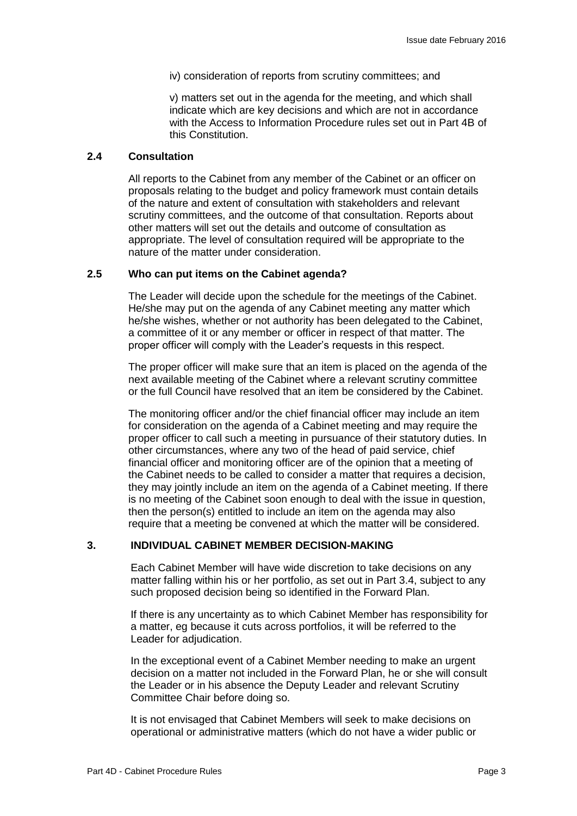iv) consideration of reports from scrutiny committees; and

v) matters set out in the agenda for the meeting, and which shall indicate which are key decisions and which are not in accordance with the Access to Information Procedure rules set out in Part 4B of this Constitution.

## **2.4 Consultation**

All reports to the Cabinet from any member of the Cabinet or an officer on proposals relating to the budget and policy framework must contain details of the nature and extent of consultation with stakeholders and relevant scrutiny committees, and the outcome of that consultation. Reports about other matters will set out the details and outcome of consultation as appropriate. The level of consultation required will be appropriate to the nature of the matter under consideration.

#### **2.5 Who can put items on the Cabinet agenda?**

The Leader will decide upon the schedule for the meetings of the Cabinet. He/she may put on the agenda of any Cabinet meeting any matter which he/she wishes, whether or not authority has been delegated to the Cabinet, a committee of it or any member or officer in respect of that matter. The proper officer will comply with the Leader's requests in this respect.

The proper officer will make sure that an item is placed on the agenda of the next available meeting of the Cabinet where a relevant scrutiny committee or the full Council have resolved that an item be considered by the Cabinet.

The monitoring officer and/or the chief financial officer may include an item for consideration on the agenda of a Cabinet meeting and may require the proper officer to call such a meeting in pursuance of their statutory duties. In other circumstances, where any two of the head of paid service, chief financial officer and monitoring officer are of the opinion that a meeting of the Cabinet needs to be called to consider a matter that requires a decision, they may jointly include an item on the agenda of a Cabinet meeting. If there is no meeting of the Cabinet soon enough to deal with the issue in question, then the person(s) entitled to include an item on the agenda may also require that a meeting be convened at which the matter will be considered.

#### **3. INDIVIDUAL CABINET MEMBER DECISION-MAKING**

Each Cabinet Member will have wide discretion to take decisions on any matter falling within his or her portfolio, as set out in Part 3.4, subject to any such proposed decision being so identified in the Forward Plan.

If there is any uncertainty as to which Cabinet Member has responsibility for a matter, eg because it cuts across portfolios, it will be referred to the Leader for adjudication.

In the exceptional event of a Cabinet Member needing to make an urgent decision on a matter not included in the Forward Plan, he or she will consult the Leader or in his absence the Deputy Leader and relevant Scrutiny Committee Chair before doing so.

It is not envisaged that Cabinet Members will seek to make decisions on operational or administrative matters (which do not have a wider public or